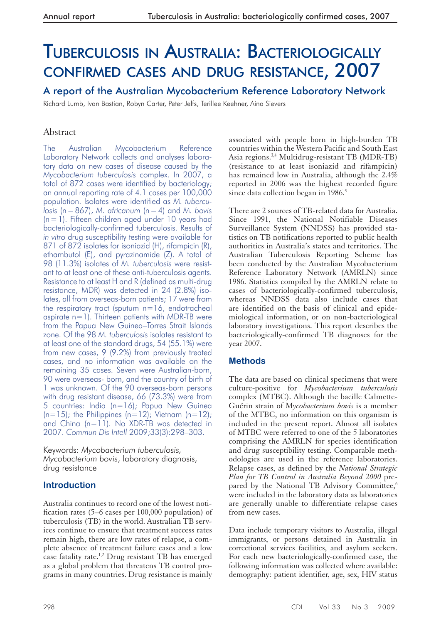# TUBERCULOSIS IN AUSTRALIA: BACTERIOLOGICALLY CONFIRMED CASES AND DRUG RESISTANCE, 2007

A report of the Australian Mycobacterium Reference Laboratory Network

Richard Lumb, Ivan Bastian, Robyn Carter, Peter Jelfs, Terillee Keehner, Aina Sievers

# Abstract

The Australian Mycobacterium Reference Laboratory Network collects and analyses laboratory data on new cases of disease caused by the *Mycobacterium tuberculosis* complex. In 2007, a total of 872 cases were identified by bacteriology; an annual reporting rate of 4.1 cases per 100,000 population. Isolates were identified as *M. tuberculosis* (n = 867), *M. africanum* (n = 4) and *M. bovis*   $(n = 1)$ . Fifteen children aged under 10 years had bacteriologically-confirmed tuberculosis. Results of *in vitro* drug susceptibility testing were available for 871 of 872 isolates for isoniazid (H), rifampicin (R), ethambutol (E), and pyrazinamide (Z). A total of 98 (11.3%) isolates of *M. tuberculosis* were resistant to at least one of these anti-tuberculosis agents. Resistance to at least H and R (defined as multi-drug resistance, MDR) was detected in 24 (2.8%) isolates, all from overseas-born patients; 17 were from the respiratory tract (sputum  $n=16$ , endotracheal aspirate  $n=1$ ). Thirteen patients with MDR-TB were from the Papua New Guinea–Torres Strait Islands zone. Of the 98 *M. tuberculosis* isolates resistant to at least one of the standard drugs, 54 (55.1%) were from new cases, 9 (9.2%) from previously treated cases, and no information was available on the remaining 35 cases. Seven were Australian-born, 90 were overseas- born, and the country of birth of 1 was unknown. Of the 90 overseas-born persons with drug resistant disease, 66 (73.3%) were from 5 countries: India (n=16); Papua New Guinea  $(n=15)$ ; the Philippines  $(n=12)$ ; Vietnam  $(n=12)$ ; and China (n=11). No XDR-TB was detected in 2007. *Commun Dis Intell* 2009;33(3):298–303.

Keywords: *Mycobacterium tuberculosis, Mycobacterium bovis*, laboratory diagnosis, drug resistance

# **Introduction**

Australia continues to record one of the lowest notification rates (5–6 cases per 100,000 population) of tuberculosis (TB) in the world. Australian TB services continue to ensure that treatment success rates remain high, there are low rates of relapse, a complete absence of treatment failure cases and a low case fatality rate.<sup>1,2</sup> Drug resistant TB has emerged as a global problem that threatens TB control programs in many countries. Drug resistance is mainly

associated with people born in high-burden TB countries within the Western Pacific and South East Asia regions.3,4 Multidrug-resistant TB (MDR-TB) (resistance to at least isoniazid and rifampicin) has remained low in Australia, although the 2.4% reported in 2006 was the highest recorded figure since data collection began in  $1986$ <sup>5</sup>

There are 2 sources of TB-related data for Australia. Since 1991, the National Notifiable Diseases Surveillance System (NNDSS) has provided statistics on TB notifications reported to public health authorities in Australia's states and territories. The Australian Tuberculosis Reporting Scheme has been conducted by the Australian Mycobacterium Reference Laboratory Network (AMRLN) since 1986. Statistics compiled by the AMRLN relate to cases of bacteriologically-confirmed tuberculosis, whereas NNDSS data also include cases that are identified on the basis of clinical and epidemiological information, or on non-bacteriological laboratory investigations. This report describes the bacteriologically-confirmed TB diagnoses for the year 2007.

# **Methods**

The data are based on clinical specimens that were culture-positive for *Mycobacterium tuberculosis*  complex (MTBC). Although the bacille Calmette-Guérin strain of M*ycobacterium bovis* is a member of the MTBC, no information on this organism is included in the present report. Almost all isolates of MTBC were referred to one of the 5 laboratories comprising the AMRLN for species identification and drug susceptibility testing. Comparable methodologies are used in the reference laboratories. Relapse cases, as defined by the *National Strategic Plan for TB Control in Australia Beyond 2000* prepared by the National TB Advisory Committee,<sup>6</sup> were included in the laboratory data as laboratories are generally unable to differentiate relapse cases from new cases.

Data include temporary visitors to Australia, illegal immigrants, or persons detained in Australia in correctional services facilities, and asylum seekers. For each new bacteriologically-confirmed case, the following information was collected where available: demography: patient identifier, age, sex, HIV status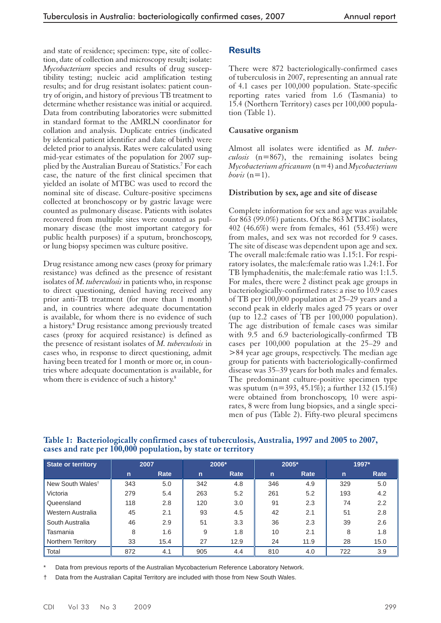and state of residence; specimen: type, site of collection, date of collection and microscopy result; isolate: *Mycobacterium* species and results of drug susceptibility testing; nucleic acid amplification testing results; and for drug resistant isolates: patient country of origin, and history of previous TB treatment to determine whether resistance was initial or acquired. Data from contributing laboratories were submitted in standard format to the AMRLN coordinator for collation and analysis. Duplicate entries (indicated by identical patient identifier and date of birth) were deleted prior to analysis. Rates were calculated using mid-year estimates of the population for 2007 supplied by the Australian Bureau of Statistics.<sup>7</sup> For each case, the nature of the first clinical specimen that yielded an isolate of MTBC was used to record the nominal site of disease. Culture-positive specimens collected at bronchoscopy or by gastric lavage were counted as pulmonary disease. Patients with isolates recovered from multiple sites were counted as pulmonary disease (the most important category for public health purposes) if a sputum, bronchoscopy, or lung biopsy specimen was culture positive.

Drug resistance among new cases (proxy for primary resistance) was defined as the presence of resistant isolates of *M. tuberculosis* in patients who, in response to direct questioning, denied having received any prior anti-TB treatment (for more than 1 month) and, in countries where adequate documentation is available, for whom there is no evidence of such a history.<sup>8</sup> Drug resistance among previously treated cases (proxy for acquired resistance) is defined as the presence of resistant isolates of *M. tuberculosis* in cases who, in response to direct questioning, admit having been treated for 1 month or more or, in countries where adequate documentation is available, for whom there is evidence of such a history.<sup>8</sup>

## **Results**

There were 872 bacteriologically-confirmed cases of tuberculosis in 2007, representing an annual rate of 4.1 cases per 100,000 population. State-specific reporting rates varied from 1.6 (Tasmania) to 15.4 (Northern Territory) cases per 100,000 population (Table 1).

#### **Causative organism**

Almost all isolates were identified as *M. tuberculosis* (n=867), the remaining isolates being *Mycobacterium africanum* (n=4) and *Mycobacterium bovis*  $(n=1)$ .

#### **Distribution by sex, age and site of disease**

Complete information for sex and age was available for 863 (99.0%) patients. Of the 863 MTBC isolates, 402 (46.6%) were from females, 461 (53.4%) were from males, and sex was not recorded for 9 cases. The site of disease was dependent upon age and sex. The overall male:female ratio was 1.15:1. For respiratory isolates, the male:female ratio was 1.24:1. For TB lymphadenitis, the male:female ratio was 1:1.5. For males, there were 2 distinct peak age groups in bacteriologically-confirmed rates: a rise to 10.9 cases of TB per 100,000 population at 25–29 years and a second peak in elderly males aged 75 years or over (up to 12.2 cases of TB per 100,000 population). The age distribution of female cases was similar with 9.5 and 6.9 bacteriologically-confirmed TB cases per 100,000 population at the 25–29 and >84 year age groups, respectively. The median age group for patients with bacteriologically-confirmed disease was 35–39 years for both males and females. The predominant culture-positive specimen type was sputum (n=393, 45.1%); a further 132 (15.1%) were obtained from bronchoscopy, 10 were aspirates, 8 were from lung biopsies, and a single specimen of pus (Table 2). Fifty-two pleural specimens

| State or territory           | 2007         |      |              | 2006* |              | 2005* | 1997*        |      |  |
|------------------------------|--------------|------|--------------|-------|--------------|-------|--------------|------|--|
|                              | $\mathsf{n}$ | Rate | $\mathsf{n}$ | Rate  | $\mathsf{n}$ | Rate  | $\mathsf{n}$ | Rate |  |
| New South Wales <sup>t</sup> | 343          | 5.0  | 342          | 4.8   | 346          | 4.9   | 329          | 5.0  |  |
| Victoria                     | 279          | 5.4  | 263          | 5.2   | 261          | 5.2   | 193          | 4.2  |  |
| Queensland                   | 118          | 2.8  | 120          | 3.0   | 91           | 2.3   | 74           | 2.2  |  |
| Western Australia            | 45           | 2.1  | 93           | 4.5   | 42           | 2.1   | 51           | 2.8  |  |
| South Australia              | 46           | 2.9  | 51           | 3.3   | 36           | 2.3   | 39           | 2.6  |  |
| Tasmania                     | 8            | 1.6  | 9            | 1.8   | 10           | 2.1   | 8            | 1.8  |  |
| Northern Territory           | 33           | 15.4 | 27           | 12.9  | 24           | 11.9  | 28           | 15.0 |  |
| Total                        | 872          | 4.1  | 905          | 4.4   | 810          | 4.0   | 722          | 3.9  |  |

#### **Table 1: Bacteriologically confirmed cases of tuberculosis, Australia, 1997 and 2005 to 2007, cases and rate per 100,000 population, by state or territory**

Data from previous reports of the Australian Mycobacterium Reference Laboratory Network.

† Data from the Australian Capital Territory are included with those from New South Wales.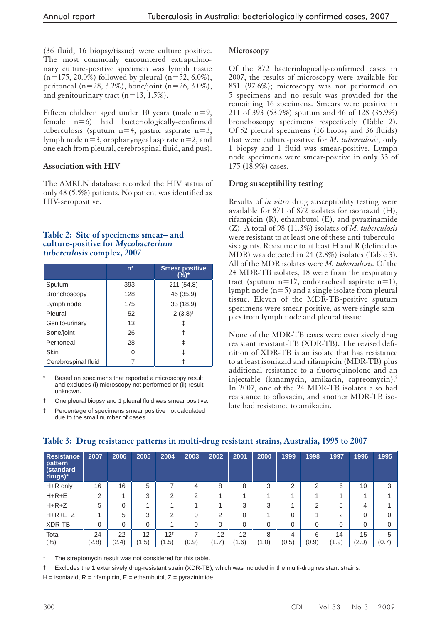(36 fluid, 16 biopsy/tissue) were culture positive. The most commonly encountered extrapulmonary culture-positive specimen was lymph tissue  $(n=175, 20.0\%)$  followed by pleural  $(n=52, 6.0\%),$ peritoneal (n=28, 3.2%), bone/joint (n=26, 3.0%), and genitourinary tract  $(n=13, 1.5\%)$ .

Fifteen children aged under 10 years (male n=9, female n=6) had bacteriologically-confirmed tuberculosis (sputum  $n=4$ , gastric aspirate  $n=3$ , lymph node n=3, oropharyngeal aspirate n=2, and one each from pleural, cerebrospinal fluid, and pus).

## **Association with HIV**

The AMRLN database recorded the HIV status of only 48 (5.5%) patients. No patient was identified as HIV-seropositive.

## **Table 2: Site of specimens smear– and culture-positive for Mycobacterium tuberculosis complex, 2007**

|                     | $n^*$ | <b>Smear positive</b><br>(%)* |
|---------------------|-------|-------------------------------|
| Sputum              | 393   | 211 (54.8)                    |
| Bronchoscopy        | 128   | 46 (35.9)                     |
| Lymph node          | 175   | 33 (18.9)                     |
| Pleural             | 52    | $2(3.8)^{+}$                  |
| Genito-urinary      | 13    |                               |
| Bone/joint          | 26    |                               |
| Peritoneal          | 28    | ⇟                             |
| Skin                |       |                               |
| Cerebrospinal fluid |       |                               |

Based on specimens that reported a microscopy result and excludes (i) microscopy not performed or (ii) result unknown.

- † One pleural biopsy and 1 pleural fluid was smear positive.
- Percentage of specimens smear positive not calculated due to the small number of cases.

## **Microscopy**

Of the 872 bacteriologically-confirmed cases in 2007, the results of microscopy were available for 851 (97.6%); microscopy was not performed on 5 specimens and no result was provided for the remaining 16 specimens. Smears were positive in 211 of 393 (53.7%) sputum and 46 of 128 (35.9%) bronchoscopy specimens respectively (Table 2). Of 52 pleural specimens (16 biopsy and 36 fluids) that were culture-positive for *M. tuberculosis*, only 1 biopsy and 1 fluid was smear-positive. Lymph node specimens were smear-positive in only 33 of 175 (18.9%) cases.

## **Drug susceptibility testing**

Results of *in vitro* drug susceptibility testing were available for 871 of 872 isolates for isoniazid (H), rifampicin (R), ethambutol (E), and pyrazinamide (Z). A total of 98 (11.3%) isolates of *M. tuberculosis*  were resistant to at least one of these anti-tuberculosis agents. Resistance to at least H and R (defined as MDR) was detected in 24 (2.8%) isolates (Table 3). All of the MDR isolates were *M. tuberculosis.* Of the 24 MDR-TB isolates, 18 were from the respiratory tract (sputum  $n=17$ , endotracheal aspirate  $n=1$ ), lymph node (n=5) and a single isolate from pleural tissue. Eleven of the MDR-TB-positive sputum specimens were smear-positive, as were single samples from lymph node and pleural tissue.

None of the MDR-TB cases were extensively drug resistant resistant-TB (XDR-TB). The revised definition of XDR-TB is an isolate that has resistance to at least isoniazid and rifampicin (MDR-TB) plus additional resistance to a fluoroquinolone and an injectable (kanamycin, amikacin, capreomycin).8 In 2007, one of the 24 MDR-TB isolates also had resistance to ofloxacin, and another MDR-TB isolate had resistance to amikacin.

| <b>Resistance</b><br>pattern<br>(standard<br>$drugs)*$ | 2007  | 2006  | 2005        | 2004           | 2003     | 2002           | 2001     | 2000        | 1999     | 1998           | 1997  | 1996  | 1995  |
|--------------------------------------------------------|-------|-------|-------------|----------------|----------|----------------|----------|-------------|----------|----------------|-------|-------|-------|
| H+R only                                               | 16    | 16    | 5           | ⇁              | 4        | 8              | 8        | 3           | ⌒        | $\overline{2}$ | 6     | 10    | 3     |
| $H+R+E$                                                | 2     |       | 3           | $\mathfrak{p}$ | 2        |                |          |             |          |                |       |       |       |
| $H+R+Z$                                                | 5     | 0     |             |                |          |                | 3        | 3           |          | 2              | 5     | 4     |       |
| $H+R+E+Z$                                              |       | 5     | 3           | 2              | $\Omega$ | $\overline{2}$ | $\Omega$ | 4           | $\Omega$ |                | ⌒     | 0     |       |
| XDR-TB                                                 | 0     | 0     | $\mathbf 0$ |                | 0        | 0              | $\Omega$ | $\mathbf 0$ | $\Omega$ | 0              | 0     | 0     |       |
| Total                                                  | 24    | 22    | 12          | $12^{+}$       | ⇁        | 12             | 12       | 8           | 4        | 6              | 14    | 15    | 5     |
| (% )                                                   | (2.8) | (2.4) | (1.5)       | (1.5)          | (0.9)    | (1.7)          | (1.6)    | (1.0)       | (0.5)    | (0.9)          | (1.9) | (2.0) | (0.7) |

# **Table 3: Drug resistance patterns in multi-drug resistant strains, Australia, 1995 to 2007**

The streptomycin result was not considered for this table.

† Excludes the 1 extensively drug-resistant strain (XDR-TB), which was included in the multi-drug resistant strains.

 $H =$  isoniazid,  $R =$  rifampicin,  $E =$  ethambutol,  $Z =$  pyrazinimide.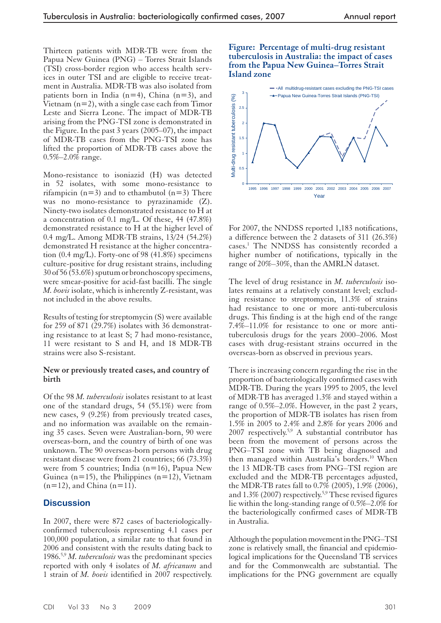Thirteen patients with MDR-TB were from the Papua New Guinea (PNG) – Torres Strait Islands (TSI) cross-border region who access health services in outer TSI and are eligible to receive treatment in Australia. MDR-TB was also isolated from patients born in India  $(n=4)$ , China  $(n=3)$ , and Vietnam  $(n=2)$ , with a single case each from Timor Leste and Sierra Leone. The impact of MDR-TB arising from the PNG-TSI zone is demonstrated in the Figure. In the past 3 years (2005–07), the impact of MDR-TB cases from the PNG-TSI zone has lifted the proportion of MDR-TB cases above the 0.5%–2.0% range.

Mono-resistance to isoniazid (H) was detected in 52 isolates, with some mono-resistance to rifampicin ( $n=3$ ) and to ethambutol ( $n=3$ ) There was no mono-resistance to pyrazinamide (Z). Ninety-two isolates demonstrated resistance to H at a concentration of 0.1 mg/L. Of these, 44 (47.8%) demonstrated resistance to H at the higher level of 0.4 mg/L. Among MDR-TB strains, 13/24 (54.2%) demonstrated H resistance at the higher concentration (0.4 mg/L). Forty-one of 98 (41.8%) specimens culture-positive for drug resistant strains, including 30 of 56 (53.6%) sputum or bronchoscopy specimens, were smear-positive for acid-fast bacilli. The single *M. bovis* isolate, which is inherently Z-resistant, was not included in the above results.

Results of testing for streptomycin (S) were available for 259 of 871 (29.7%) isolates with 36 demonstrating resistance to at least S; 7 had mono-resistance, 11 were resistant to S and H, and 18 MDR-TB strains were also S-resistant.

#### **New or previously treated cases, and country of birth**

Of the 98 *M. tuberculosis* isolates resistant to at least one of the standard drugs, 54 (55.1%) were from new cases, 9 (9.2%) from previously treated cases, and no information was available on the remaining 35 cases. Seven were Australian-born, 90 were overseas-born, and the country of birth of one was unknown. The 90 overseas-born persons with drug resistant disease were from 21 countries; 66 (73.3%) were from 5 countries; India (n=16), Papua New Guinea (n=15), the Philippines (n=12), Vietnam  $(n=12)$ , and China  $(n=11)$ .

#### **Discussion**

In 2007, there were 872 cases of bacteriologicallyconfirmed tuberculosis representing 4.1 cases per 100,000 population, a similar rate to that found in 2006 and consistent with the results dating back to 1986.5,9 *M. tuberculosis* was the predominant species reported with only 4 isolates of *M. africanum* and 1 strain of *M. bovis* identified in 2007 respectively.

#### **Figure: Percentage of multi-drug resistant tuberculosis in Australia: the impact of cases from the Papua New Guinea–Torres Strait Island zone**



For 2007, the NNDSS reported 1,183 notifications, a difference between the 2 datasets of 311 (26.3%) cases.1 The NNDSS has consistently recorded a higher number of notifications, typically in the range of 20%–30%, than the AMRLN dataset.

The level of drug resistance in *M. tuberculosis* isolates remains at a relatively constant level; excluding resistance to streptomycin, 11.3% of strains had resistance to one or more anti-tuberculosis drugs. This finding is at the high end of the range 7.4%–11.0% for resistance to one or more antituberculosis drugs for the years 2000–2006. Most cases with drug-resistant strains occurred in the overseas-born as observed in previous years.

There is increasing concern regarding the rise in the proportion of bacteriologically confirmed cases with MDR-TB. During the years 1995 to 2005, the level of MDR-TB has averaged 1.3% and stayed within a range of 0.5%–2.0%. However, in the past 2 years, the proportion of MDR-TB isolates has risen from 1.5% in 2005 to 2.4% and 2.8% for years 2006 and 2007 respectively.<sup>5,9</sup> A substantial contributor has been from the movement of persons across the PNG–TSI zone with TB being diagnosed and then managed within Australia's borders.10 When the 13 MDR-TB cases from PNG–TSI region are excluded and the MDR-TB percentages adjusted, the MDR-TB rates fall to 0.7% (2005), 1.9% (2006), and  $1.3\%$  (2007) respectively.<sup>5,9</sup> These revised figures lie within the long-standing range of 0.5%–2.0% for the bacteriologically confirmed cases of MDR-TB in Australia.

Although the population movement in the PNG–TSI zone is relatively small, the financial and epidemiological implications for the Queensland TB services and for the Commonwealth are substantial. The implications for the PNG government are equally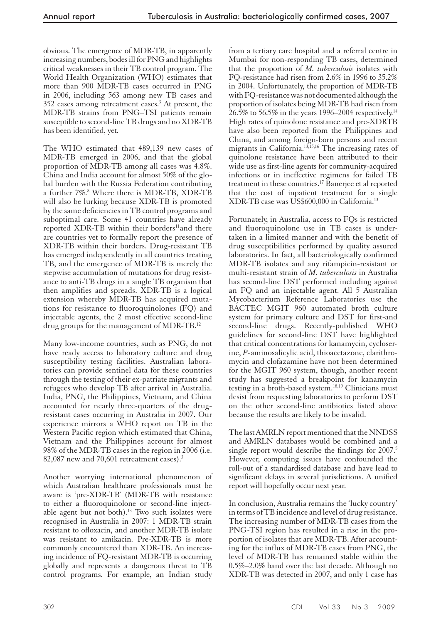obvious. The emergence of MDR-TB, in apparently increasing numbers, bodes ill for PNG and highlights critical weaknesses in their TB control program. The World Health Organization (WHO) estimates that more than 900 MDR-TB cases occurred in PNG in 2006, including 563 among new TB cases and 352 cases among retreatment cases.<sup>3</sup> At present, the MDR-TB strains from PNG–TSI patients remain susceptible to second-line TB drugs and no XDR-TB has been identified, yet.

The WHO estimated that 489,139 new cases of MDR-TB emerged in 2006, and that the global proportion of MDR-TB among all cases was 4.8%. China and India account for almost 50% of the global burden with the Russia Federation contributing a further 7%.<sup>8</sup> Where there is MDR-TB, XDR-TB will also be lurking because XDR-TB is promoted by the same deficiencies in TB control programs and suboptimal care. Some 41 countries have already reported XDR-TB within their borders<sup>11</sup>and there are countries yet to formally report the presence of XDR-TB within their borders. Drug-resistant TB has emerged independently in all countries treating TB, and the emergence of MDR-TB is merely the stepwise accumulation of mutations for drug resistance to anti-TB drugs in a single TB organism that then amplifies and spreads. XDR-TB is a logical extension whereby MDR-TB has acquired mutations for resistance to fluoroquinolones (FQ) and injectable agents, the 2 most effective second-line drug groups for the management of MDR-TB.12

Many low-income countries, such as PNG, do not have ready access to laboratory culture and drug susceptibility testing facilities. Australian laboratories can provide sentinel data for these countries through the testing of their ex-patriate migrants and refugees who develop TB after arrival in Australia. India, PNG, the Philippines, Vietnam, and China accounted for nearly three-quarters of the drugresistant cases occurring in Australia in 2007. Our experience mirrors a WHO report on TB in the Western Pacific region which estimated that China, Vietnam and the Philippines account for almost 98% of the MDR-TB cases in the region in 2006 (i.e. 82,087 new and 70,601 retreatment cases). $3$ 

Another worrying international phenomenon of which Australian healthcare professionals must be aware is 'pre-XDR-TB' (MDR-TB with resistance to either a fluoroquinolone or second-line injectable agent but not both).<sup>13</sup> Two such isolates were recognised in Australia in 2007: 1 MDR-TB strain resistant to ofloxacin, and another MDR-TB isolate was resistant to amikacin. Pre-XDR-TB is more commonly encountered than XDR-TB. An increasing incidence of FQ-resistant MDR-TB is occurring globally and represents a dangerous threat to TB control programs. For example, an Indian study

from a tertiary care hospital and a referral centre in Mumbai for non-responding TB cases, determined that the proportion of *M. tuberculosis* isolates with FQ-resistance had risen from 2.6% in 1996 to 35.2% in 2004. Unfortunately, the proportion of MDR-TB with FQ-resistance was not documented although the proportion of isolates being MDR-TB had risen from 26.5% to 56.5% in the years 1996–2004 respectively.<sup>14</sup> High rates of quinolone resistance and pre-XDRTB have also been reported from the Philippines and China, and among foreign-born persons and recent migrants in California.13,15,16 The increasing rates of quinolone resistance have been attributed to their wide use as first-line agents for community-acquired infections or in ineffective regimens for failed TB treatment in these countries.17 Banerjee et al reported that the cost of inpatient treatment for a single XDR-TB case was US\$600,000 in California.13

Fortunately, in Australia, access to FQs is restricted and fluoroquinolone use in TB cases is undertaken in a limited manner and with the benefit of drug susceptibilities performed by quality assured laboratories. In fact, all bacteriologically confirmed MDR-TB isolates and any rifampicin-resistant or multi-resistant strain of *M. tuberculosis* in Australia has second-line DST performed including against an FQ and an injectable agent. All 5 Australian Mycobacterium Reference Laboratories use the BACTEC MGIT 960 automated broth culture system for primary culture and DST for first-and second-line drugs. Recently-published WHO guidelines for second-line DST have highlighted that critical concentrations for kanamycin, cycloserine, *P*-aminosalicylic acid, thioacetazone, clarithromycin and clofazamine have not been determined for the MGIT 960 system, though, another recent study has suggested a breakpoint for kanamycin testing in a broth-based system.<sup>18,19</sup> Clinicians must desist from requesting laboratories to perform DST on the other second-line antibiotics listed above because the results are likely to be invalid.

The last AMRLN report mentioned that the NNDSS and AMRLN databases would be combined and a single report would describe the findings for 2007.<sup>5</sup> However, computing issues have confounded the roll-out of a standardised database and have lead to significant delays in several jurisdictions. A unified report will hopefully occur next year.

In conclusion, Australia remains the 'lucky country' in terms of TB incidence and level of drug resistance. The increasing number of MDR-TB cases from the PNG-TSI region has resulted in a rise in the proportion of isolates that are MDR-TB. After accounting for the influx of MDR-TB cases from PNG, the level of MDR-TB has remained stable within the 0.5%–2.0% band over the last decade. Although no XDR-TB was detected in 2007, and only 1 case has